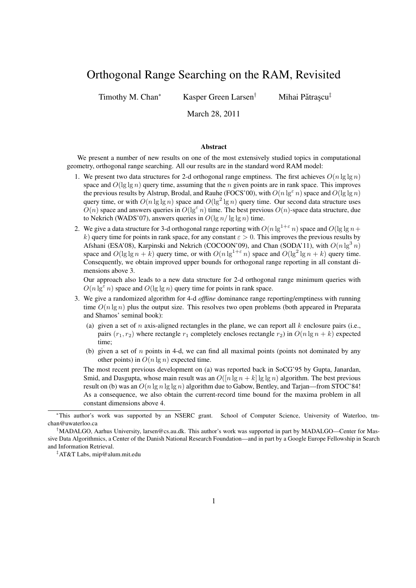# Orthogonal Range Searching on the RAM, Revisited

Timothy M. Chan<sup>∗</sup> Kasper Green Larsen<sup>†</sup>

Mihai Pătrascu<sup>‡</sup>

March 28, 2011

#### Abstract

We present a number of new results on one of the most extensively studied topics in computational geometry, orthogonal range searching. All our results are in the standard word RAM model:

- 1. We present two data structures for 2-d orthogonal range emptiness. The first achieves  $O(n \lg \lg n)$ space and  $O(\lg \lg n)$  query time, assuming that the n given points are in rank space. This improves the previous results by Alstrup, Brodal, and Rauhe (FOCS'00), with  $O(n \lg^{\epsilon} n)$  space and  $O(\lg \lg n)$ query time, or with  $O(n \lg \lg n)$  space and  $O(\lg^2 \lg n)$  query time. Our second data structure uses  $O(n)$  space and answers queries in  $O(\lg^{\epsilon} n)$  time. The best previous  $O(n)$ -space data structure, due to Nekrich (WADS'07), answers queries in  $O(\lg n / \lg \lg n)$  time.
- 2. We give a data structure for 3-d orthogonal range reporting with  $O(n \lg^{1+\epsilon} n)$  space and  $O(\lg \lg n + \epsilon)$ k) query time for points in rank space, for any constant  $\varepsilon > 0$ . This improves the previous results by Afshani (ESA'08), Karpinski and Nekrich (COCOON'09), and Chan (SODA'11), with  $O(n \lg^3 n)$ space and  $O(\lg \lg n + k)$  query time, or with  $O(n \lg^{1+\epsilon} n)$  space and  $O(\lg^2 \lg n + k)$  query time. Consequently, we obtain improved upper bounds for orthogonal range reporting in all constant dimensions above 3.

Our approach also leads to a new data structure for 2-d orthogonal range minimum queries with  $O(n \lg^{\epsilon} n)$  space and  $O(\lg \lg n)$  query time for points in rank space.

- 3. We give a randomized algorithm for 4-d *offline* dominance range reporting/emptiness with running time  $O(n \lg n)$  plus the output size. This resolves two open problems (both appeared in Preparata and Shamos' seminal book):
	- (a) given a set of n axis-aligned rectangles in the plane, we can report all k enclosure pairs (i.e., pairs  $(r_1, r_2)$  where rectangle  $r_1$  completely encloses rectangle  $r_2$ ) in  $O(n \lg n + k)$  expected time;
	- (b) given a set of  $n$  points in 4-d, we can find all maximal points (points not dominated by any other points) in  $O(n \lg n)$  expected time.

The most recent previous development on (a) was reported back in SoCG'95 by Gupta, Janardan, Smid, and Dasgupta, whose main result was an  $O([n \lg n + k] \lg \lg n)$  algorithm. The best previous result on (b) was an  $O(n \lg n \lg \lg n)$  algorithm due to Gabow, Bentley, and Tarian—from STOC'84! As a consequence, we also obtain the current-record time bound for the maxima problem in all constant dimensions above 4.

<sup>∗</sup>This author's work was supported by an NSERC grant. School of Computer Science, University of Waterloo, tmchan@uwaterloo.ca

<sup>†</sup>MADALGO, Aarhus University, larsen@cs.au.dk. This author's work was supported in part by MADALGO—Center for Massive Data Algorithmics, a Center of the Danish National Research Foundation—and in part by a Google Europe Fellowship in Search and Information Retrieval.

<sup>‡</sup>AT&T Labs, mip@alum.mit.edu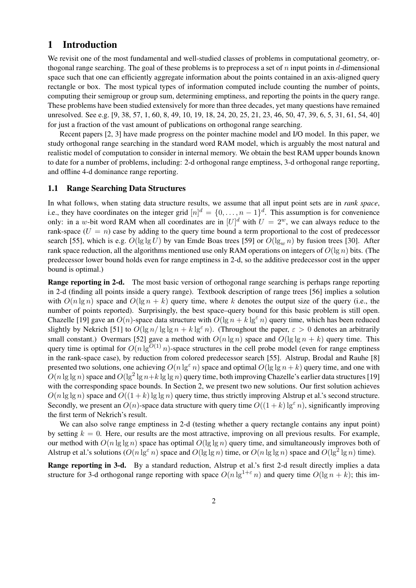# 1 Introduction

We revisit one of the most fundamental and well-studied classes of problems in computational geometry, orthogonal range searching. The goal of these problems is to preprocess a set of n input points in d-dimensional space such that one can efficiently aggregate information about the points contained in an axis-aligned query rectangle or box. The most typical types of information computed include counting the number of points, computing their semigroup or group sum, determining emptiness, and reporting the points in the query range. These problems have been studied extensively for more than three decades, yet many questions have remained unresolved. See e.g. [9, 38, 57, 1, 60, 8, 49, 10, 19, 18, 24, 20, 25, 21, 23, 46, 50, 47, 39, 6, 5, 31, 61, 54, 40] for just a fraction of the vast amount of publications on orthogonal range searching.

Recent papers [2, 3] have made progress on the pointer machine model and I/O model. In this paper, we study orthogonal range searching in the standard word RAM model, which is arguably the most natural and realistic model of computation to consider in internal memory. We obtain the best RAM upper bounds known to date for a number of problems, including: 2-d orthogonal range emptiness, 3-d orthogonal range reporting, and offline 4-d dominance range reporting.

# 1.1 Range Searching Data Structures

In what follows, when stating data structure results, we assume that all input point sets are in *rank space*, i.e., they have coordinates on the integer grid  $[n]^d = \{0, \ldots, n-1\}^d$ . This assumption is for convenience only: in a w-bit word RAM when all coordinates are in  $[U]^d$  with  $U = 2^w$ , we can always reduce to the rank-space  $(U = n)$  case by adding to the query time bound a term proportional to the cost of predecessor search [55], which is e.g.  $O(\lg \lg U)$  by van Emde Boas trees [59] or  $O(\lg_m n)$  by fusion trees [30]. After rank space reduction, all the algorithms mentioned use only RAM operations on integers of  $O(\lg n)$  bits. (The predecessor lower bound holds even for range emptiness in 2-d, so the additive predecessor cost in the upper bound is optimal.)

Range reporting in 2-d. The most basic version of orthogonal range searching is perhaps range reporting in 2-d (finding all points inside a query range). Textbook description of range trees [56] implies a solution with  $O(n \lg n)$  space and  $O(\lg n + k)$  query time, where k denotes the output size of the query (i.e., the number of points reported). Surprisingly, the best space–query bound for this basic problem is still open. Chazelle [19] gave an  $O(n)$ -space data structure with  $O(\lg n + k \lg^2 n)$  query time, which has been reduced slightly by Nekrich [51] to  $O(\lg n / \lg \lg n + k \lg^2 n)$ . (Throughout the paper,  $\varepsilon > 0$  denotes an arbitrarily small constant.) Overmars [52] gave a method with  $O(n \lg n)$  space and  $O(\lg \lg n + k)$  query time. This query time is optimal for  $O(n \lg^{O(1)} n)$ -space structures in the cell probe model (even for range emptiness in the rank-space case), by reduction from colored predecessor search [55]. Alstrup, Brodal and Rauhe [8] presented two solutions, one achieving  $O(n \lg^{\epsilon} n)$  space and optimal  $O(\lg \lg n + k)$  query time, and one with  $O(n \lg \lg n)$  space and  $O(\lg^2 \lg n + k \lg \lg n)$  query time, both improving Chazelle's earlier data structures [19] with the corresponding space bounds. In Section 2, we present two new solutions. Our first solution achieves  $O(n \lg \lg n)$  space and  $O((1 + k) \lg \lg n)$  query time, thus strictly improving Alstrup et al.'s second structure. Secondly, we present an  $O(n)$ -space data structure with query time  $O((1 + k) \lg^{\epsilon} n)$ , significantly improving the first term of Nekrich's result.

We can also solve range emptiness in 2-d (testing whether a query rectangle contains any input point) by setting  $k = 0$ . Here, our results are the most attractive, improving on all previous results. For example, our method with  $O(n \lg \lg n)$  space has optimal  $O(\lg \lg n)$  query time, and simultaneously improves both of Alstrup et al.'s solutions  $(O(n \lg \varepsilon n)$  space and  $O(\lg \lg n)$  time, or  $O(n \lg \lg n)$  space and  $O(\lg^2 \lg n)$  time).

Range reporting in 3-d. By a standard reduction, Alstrup et al.'s first 2-d result directly implies a data structure for 3-d orthogonal range reporting with space  $O(n \lg^{1+\epsilon} n)$  and query time  $O(\lg n + k)$ ; this im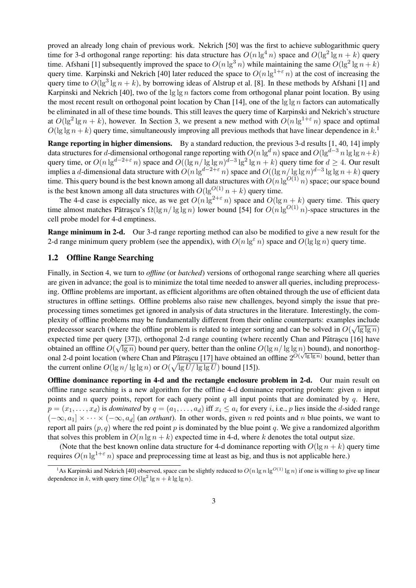proved an already long chain of previous work. Nekrich [50] was the first to achieve sublogarithmic query time for 3-d orthogonal range reporting: his data structure has  $O(n \lg^4 n)$  space and  $O(\lg^2 \lg n + k)$  query time. Afshani [1] subsequently improved the space to  $O(n \lg^3 n)$  while maintaining the same  $O(\lg^2 \lg n + k)$ query time. Karpinski and Nekrich [40] later reduced the space to  $O(n \lg^{1+\epsilon} n)$  at the cost of increasing the query time to  $O(\lg^3 \lg n + k)$ , by borrowing ideas of Alstrup et al. [8]. In these methods by Afshani [1] and Karpinski and Nekrich [40], two of the  $\lg \lg n$  factors come from orthogonal planar point location. By using the most recent result on orthogonal point location by Chan [14], one of the  $\lg \lg n$  factors can automatically be eliminated in all of these time bounds. This still leaves the query time of Karpinski and Nekrich's structure at  $O(\lg^2 \lg n + k)$ , however. In Section 3, we present a new method with  $O(n \lg^{1+\epsilon} n)$  space and optimal  $O(\lg \lg n + k)$  query time, simultaneously improving all previous methods that have linear dependence in  $k$ .<sup>1</sup>

Range reporting in higher dimensions. By a standard reduction, the previous 3-d results [1, 40, 14] imply data structures for d-dimensional orthogonal range reporting with  $O(n \lg^d n)$  space and  $O(\lg^{d-3} n \lg \lg n+k)$ query time, or  $O(n \lg^{d-2+\varepsilon} n)$  space and  $O((\lg n / \lg \lg n)^{d-3} \lg^2 \lg n + k)$  query time for  $d \ge 4$ . Our result implies a d-dimensional data structure with  $O(n \lg^{d-2+\epsilon} n)$  space and  $O((\lg n / \lg \lg n)^{d-3} \lg \lg n + k)$  query time. This query bound is the best known among all data structures with  $O(n \lg^{O(1)} n)$  space; our space bound is the best known among all data structures with  $O(\lg^{O(1)} n + k)$  query time.

The 4-d case is especially nice, as we get  $O(n \lg^{2+\epsilon} n)$  space and  $O(\lg n + k)$  query time. This query time almost matches Pătrașcu's  $\Omega(\lg n / \lg \lg n)$  lower bound [54] for  $O(n \lg^{O(1)} n)$ -space structures in the cell probe model for 4-d emptiness.

Range minimum in 2-d. Our 3-d range reporting method can also be modified to give a new result for the 2-d range minimum query problem (see the appendix), with  $O(n \lg^{\epsilon} n)$  space and  $O(\lg \lg n)$  query time.

### 1.2 Offline Range Searching

Finally, in Section 4, we turn to *offline* (or *batched*) versions of orthogonal range searching where all queries are given in advance; the goal is to minimize the total time needed to answer all queries, including preprocessing. Offline problems are important, as efficient algorithms are often obtained through the use of efficient data structures in offline settings. Offline problems also raise new challenges, beyond simply the issue that preprocessing times sometimes get ignored in analysis of data structures in the literature. Interestingly, the complexity of offline problems may be fundamentally different from their online counterparts: examples include predecessor search (where the offline problem is related to integer sorting and can be solved in  $O(\sqrt{\lg \lg n})$ expected time per query [37]), orthogonal 2-d range counting (where recently Chan and Pătrașcu [16] have obtained an offline  $O(\sqrt{\lg n})$  bound per query, better than the online  $O(\lg n / \lg \lg n)$  bound), and nonorthogonal 2-d point location (where Chan and Pǎtraşcu [17] have obtained an offline  $2^{O(\sqrt{\lg\lg n})}$  bound, better than the current online  $O(\lg n / \lg \lg n)$  or  $O(\sqrt{\lg U / \lg \lg U})$  bound [15]).

Offline dominance reporting in 4-d and the rectangle enclosure problem in 2-d. Our main result on offline range searching is a new algorithm for the offline 4-d dominance reporting problem: given  $n$  input points and n query points, report for each query point q all input points that are dominated by q. Here,  $p = (x_1, \ldots, x_d)$  is *dominated* by  $q = (a_1, \ldots, a_d)$  iff  $x_i \leq a_i$  for every *i*, i.e., *p* lies inside the *d*-sided range  $(-\infty, a_1] \times \cdots \times (-\infty, a_d]$  (an *orthant*). In other words, given n red points and n blue points, we want to report all pairs  $(p, q)$  where the red point p is dominated by the blue point q. We give a randomized algorithm that solves this problem in  $O(n \lg n + k)$  expected time in 4-d, where k denotes the total output size.

(Note that the best known online data structure for 4-d dominance reporting with  $O(\lg n + k)$  query time requires  $O(n \lg^{1+\epsilon} n)$  space and preprocessing time at least as big, and thus is not applicable here.)

<sup>&</sup>lt;sup>1</sup>As Karpinski and Nekrich [40] observed, space can be slightly reduced to  $O(n \lg n \lg^{O(1)} \lg n)$  if one is willing to give up linear dependence in k, with query time  $O(\lg^2 \lg n + k \lg \lg n)$ .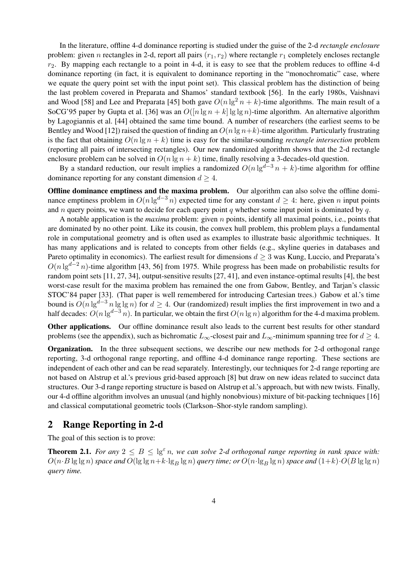In the literature, offline 4-d dominance reporting is studied under the guise of the 2-d *rectangle enclosure* problem: given n rectangles in 2-d, report all pairs  $(r_1, r_2)$  where rectangle  $r_1$  completely encloses rectangle  $r_2$ . By mapping each rectangle to a point in 4-d, it is easy to see that the problem reduces to offline 4-d dominance reporting (in fact, it is equivalent to dominance reporting in the "monochromatic" case, where we equate the query point set with the input point set). This classical problem has the distinction of being the last problem covered in Preparata and Shamos' standard textbook [56]. In the early 1980s, Vaishnavi and Wood [58] and Lee and Preparata [45] both gave  $O(n \lg^2 n + k)$ -time algorithms. The main result of a SoCG'95 paper by Gupta et al. [36] was an  $O([n \lg n + k] \lg \lg n)$ -time algorithm. An alternative algorithm by Lagogiannis et al. [44] obtained the same time bound. A number of researchers (the earliest seems to be Bentley and Wood [12]) raised the question of finding an  $O(n \lg n+k)$ -time algorithm. Particularly frustrating is the fact that obtaining  $O(n \lg n + k)$  time is easy for the similar-sounding *rectangle intersection* problem (reporting all pairs of intersecting rectangles). Our new randomized algorithm shows that the 2-d rectangle enclosure problem can be solved in  $O(n \lg n + k)$  time, finally resolving a 3-decades-old question.

By a standard reduction, our result implies a randomized  $O(n \lg^{d-3} n + k)$ -time algorithm for offline dominance reporting for any constant dimension  $d \geq 4$ .

Offline dominance emptiness and the maxima problem. Our algorithm can also solve the offline dominance emptiness problem in  $O(n \lg^{d-3} n)$  expected time for any constant  $d \geq 4$ : here, given n input points and n query points, we want to decide for each query point q whether some input point is dominated by  $q$ .

A notable application is the *maxima* problem: given n points, identify all maximal points, i.e., points that are dominated by no other point. Like its cousin, the convex hull problem, this problem plays a fundamental role in computational geometry and is often used as examples to illustrate basic algorithmic techniques. It has many applications and is related to concepts from other fields (e.g., skyline queries in databases and Pareto optimality in economics). The earliest result for dimensions  $d > 3$  was Kung, Luccio, and Preparata's  $O(n \lg^{d-2} n)$ -time algorithm [43, 56] from 1975. While progress has been made on probabilistic results for random point sets [11, 27, 34], output-sensitive results [27, 41], and even instance-optimal results [4], the best worst-case result for the maxima problem has remained the one from Gabow, Bentley, and Tarjan's classic STOC'84 paper [33]. (That paper is well remembered for introducing Cartesian trees.) Gabow et al.'s time bound is  $O(n \lg^{d-3} n \lg \lg n)$  for  $d \geq 4$ . Our (randomized) result implies the first improvement in two and a half decades:  $O(n \lg^{d-3} n)$ . In particular, we obtain the first  $O(n \lg n)$  algorithm for the 4-d maxima problem.

Other applications. Our offline dominance result also leads to the current best results for other standard problems (see the appendix), such as bichromatic  $L_{\infty}$ -closest pair and  $L_{\infty}$ -minimum spanning tree for  $d \geq 4$ .

Organization. In the three subsequent sections, we describe our new methods for 2-d orthogonal range reporting, 3-d orthogonal range reporting, and offline 4-d dominance range reporting. These sections are independent of each other and can be read separately. Interestingly, our techniques for 2-d range reporting are not based on Alstrup et al.'s previous grid-based approach [8] but draw on new ideas related to succinct data structures. Our 3-d range reporting structure is based on Alstrup et al.'s approach, but with new twists. Finally, our 4-d offline algorithm involves an unusual (and highly nonobvious) mixture of bit-packing techniques [16] and classical computational geometric tools (Clarkson–Shor-style random sampling).

# 2 Range Reporting in 2-d

The goal of this section is to prove:

**Theorem 2.1.** *For any*  $2 \leq B \leq \lg^{\epsilon} n$ , we can solve 2-d orthogonal range reporting in rank space with:  $O(n \cdot B \lg \lg n)$  *space and*  $O(\lg \lg n + k \cdot \lg_B \lg n)$  *query time; or*  $O(n \cdot \lg B \lg n)$  *space and*  $(1+k) \cdot O(B \lg \lg n)$ *query time.*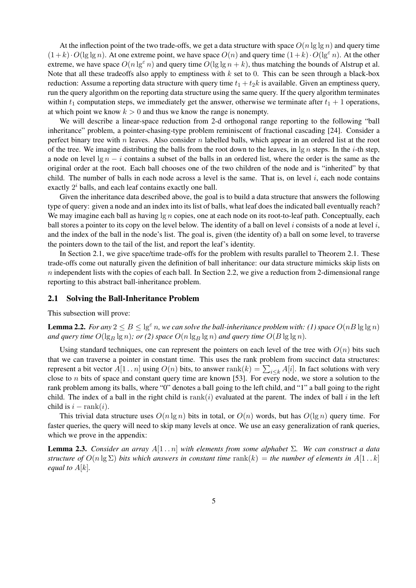At the inflection point of the two trade-offs, we get a data structure with space  $O(n \lg \lg n)$  and query time  $(1+k)\cdot O(\lg \lg n)$ . At one extreme point, we have space  $O(n)$  and query time  $(1+k)\cdot O(\lg^2 n)$ . At the other extreme, we have space  $O(n \lg^{\epsilon} n)$  and query time  $O(\lg \lg n + k)$ , thus matching the bounds of Alstrup et al. Note that all these tradeoffs also apply to emptiness with  $k$  set to 0. This can be seen through a black-box reduction: Assume a reporting data structure with query time  $t_1 + t_2k$  is available. Given an emptiness query, run the query algorithm on the reporting data structure using the same query. If the query algorithm terminates within  $t_1$  computation steps, we immediately get the answer, otherwise we terminate after  $t_1 + 1$  operations, at which point we know  $k > 0$  and thus we know the range is nonempty.

We will describe a linear-space reduction from 2-d orthogonal range reporting to the following "ball inheritance" problem, a pointer-chasing-type problem reminiscent of fractional cascading [24]. Consider a perfect binary tree with n leaves. Also consider n labelled balls, which appear in an ordered list at the root of the tree. We imagine distributing the balls from the root down to the leaves, in  $\lg n$  steps. In the *i*-th step, a node on level  $\lg n - i$  contains a subset of the balls in an ordered list, where the order is the same as the original order at the root. Each ball chooses one of the two children of the node and is "inherited" by that child. The number of balls in each node across a level is the same. That is, on level  $i$ , each node contains exactly  $2^i$  balls, and each leaf contains exactly one ball.

Given the inheritance data described above, the goal is to build a data structure that answers the following type of query: given a node and an index into its list of balls, what leaf does the indicated ball eventually reach? We may imagine each ball as having  $\lg n$  copies, one at each node on its root-to-leaf path. Conceptually, each ball stores a pointer to its copy on the level below. The identity of a ball on level i consists of a node at level i, and the index of the ball in the node's list. The goal is, given (the identity of) a ball on some level, to traverse the pointers down to the tail of the list, and report the leaf's identity.

In Section 2.1, we give space/time trade-offs for the problem with results parallel to Theorem 2.1. These trade-offs come out naturally given the definition of ball inheritance: our data structure mimicks skip lists on  $n$  independent lists with the copies of each ball. In Section 2.2, we give a reduction from 2-dimensional range reporting to this abstract ball-inheritance problem.

### 2.1 Solving the Ball-Inheritance Problem

This subsection will prove:

**Lemma 2.2.** *For any*  $2 \leq B \leq \lg^{\epsilon} n$ , we can solve the ball-inheritance problem with: (1) space  $O(nB \lg \lg n)$ and query time  $O(\lg_B \lg n)$ ; or (2) space  $O(n \lg_B \lg n)$  and query time  $O(B \lg \lg n)$ .

Using standard techniques, one can represent the pointers on each level of the tree with  $O(n)$  bits such that we can traverse a pointer in constant time. This uses the rank problem from succinct data structures: represent a bit vector  $A[1\,.. \,n]$  using  $O(n)$  bits, to answer  $\text{rank}(k) = \sum_{i \leq k} A[i]$ . In fact solutions with very close to *n* bits of space and constant query time are known [53]. For every node, we store a solution to the rank problem among its balls, where "0" denotes a ball going to the left child, and "1" a ball going to the right child. The index of a ball in the right child is  $rank(i)$  evaluated at the parent. The index of ball i in the left child is  $i - \text{rank}(i)$ .

This trivial data structure uses  $O(n \lg n)$  bits in total, or  $O(n)$  words, but has  $O(\lg n)$  query time. For faster queries, the query will need to skip many levels at once. We use an easy generalization of rank queries, which we prove in the appendix:

Lemma 2.3. *Consider an array* A[1 . . n] *with elements from some alphabet* Σ*. We can construct a data structure of*  $O(n \lg \Sigma)$  *bits which answers in constant time* rank(k) = *the number of elements in*  $A[1 \tcdot k]$ *equal to*  $A[k]$ *.*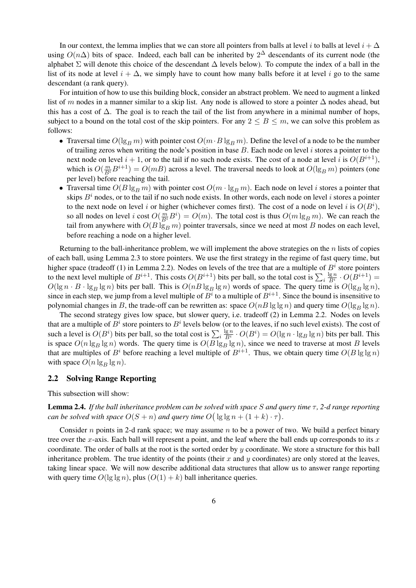In our context, the lemma implies that we can store all pointers from balls at level i to balls at level  $i + \Delta$ using  $O(n\Delta)$  bits of space. Indeed, each ball can be inherited by 2<sup> $\Delta$ </sup> descendants of its current node (the alphabet  $\Sigma$  will denote this choice of the descendant  $\Delta$  levels below). To compute the index of a ball in the list of its node at level  $i + \Delta$ , we simply have to count how many balls before it at level i go to the same descendant (a rank query).

For intuition of how to use this building block, consider an abstract problem. We need to augment a linked list of m nodes in a manner similar to a skip list. Any node is allowed to store a pointer  $\Delta$  nodes ahead, but this has a cost of  $\Delta$ . The goal is to reach the tail of the list from anywhere in a minimal number of hops, subject to a bound on the total cost of the skip pointers. For any  $2 \leq B \leq m$ , we can solve this problem as follows:

- Traversal time  $O(\lg_B m)$  with pointer cost  $O(m \cdot B \lg_B m)$ . Define the level of a node to be the number of trailing zeros when writing the node's position in base  $B$ . Each node on level i stores a pointer to the next node on level  $i + 1$ , or to the tail if no such node exists. The cost of a node at level i is  $O(B^{i+1})$ , which is  $O(\frac{m}{B^i}B^{i+1}) = O(mB)$  across a level. The traversal needs to look at  $O(\lg_B m)$  pointers (one per level) before reaching the tail.
- Traversal time  $O(B \lg_B m)$  with pointer cost  $O(m \cdot \lg_B m)$ . Each node on level i stores a pointer that skips  $B^i$  nodes, or to the tail if no such node exists. In other words, each node on level i stores a pointer to the next node on level i or higher (whichever comes first). The cost of a node on level i is  $O(B<sup>i</sup>)$ , so all nodes on level i cost  $O(\frac{m}{B^i}B^i) = O(m)$ . The total cost is thus  $O(m \lg_B m)$ . We can reach the tail from anywhere with  $O(B \lg_B m)$  pointer traversals, since we need at most B nodes on each level, before reaching a node on a higher level.

Returning to the ball-inheritance problem, we will implement the above strategies on the  $n$  lists of copies of each ball, using Lemma 2.3 to store pointers. We use the first strategy in the regime of fast query time, but higher space (tradeoff (1) in Lemma 2.2). Nodes on levels of the tree that are a multiple of  $B^i$  store pointers to the next level multiple of  $B^{i+1}$ . This costs  $O(B^{i+1})$  bits per ball, so the total cost is  $\sum_i$  $\lg n$  $\frac{\lg n}{B^i} \cdot O(B^{i+1}) =$  $O(\lg n \cdot B \cdot \lg_B \lg n)$  bits per ball. This is  $O(nB \lg_B \lg n)$  words of space. The query time is  $O(\lg_B \lg n)$ , since in each step, we jump from a level multiple of  $B^i$  to a multiple of  $B^{i+1}$ . Since the bound is insensitive to polynomial changes in B, the trade-off can be rewritten as: space  $O(nB \lg \lg n)$  and query time  $O(\lg B \lg n)$ .

The second strategy gives low space, but slower query, i.e. tradeoff (2) in Lemma 2.2. Nodes on levels that are a multiple of  $B^i$  store pointers to  $B^i$  levels below (or to the leaves, if no such level exists). The cost of such a level is  $O(B^i)$  bits per ball, so the total cost is  $\sum_i$  $\lg n$  $\frac{\lg n}{B^i} \cdot O(B^i) = O(\lg n \cdot \lg B \lg n)$  bits per ball. This is space  $O(n \lg_B \lg n)$  words. The query time is  $O(B \lg_B \lg n)$ , since we need to traverse at most B levels that are multiples of  $B^i$  before reaching a level multiple of  $B^{i+1}$ . Thus, we obtain query time  $O(B \lg \lg n)$ with space  $O(n \lg_B \lg n)$ .

### 2.2 Solving Range Reporting

This subsection will show:

**Lemma 2.4.** *If the ball inheritance problem can be solved with space* S and query time  $\tau$ , 2-d range reporting *can be solved with space*  $O(S + n)$  *and query time*  $O(|g|g n + (1 + k) \cdot \tau)$ .

Consider n points in 2-d rank space; we may assume n to be a power of two. We build a perfect binary tree over the x-axis. Each ball will represent a point, and the leaf where the ball ends up corresponds to its  $x$ coordinate. The order of balls at the root is the sorted order by y coordinate. We store a structure for this ball inheritance problem. The true identity of the points (their  $x$  and  $y$  coordinates) are only stored at the leaves, taking linear space. We will now describe additional data structures that allow us to answer range reporting with query time  $O(\lg \lg n)$ , plus  $(O(1) + k)$  ball inheritance queries.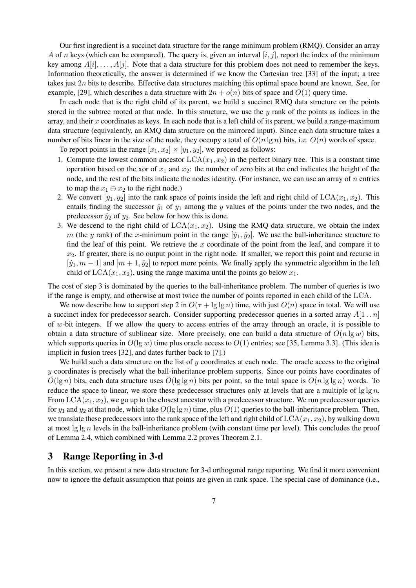Our first ingredient is a succinct data structure for the range minimum problem (RMQ). Consider an array A of n keys (which can be compared). The query is, given an interval  $[i, j]$ , report the index of the minimum key among  $A[i], \ldots, A[j]$ . Note that a data structure for this problem does not need to remember the keys. Information theoretically, the answer is determined if we know the Cartesian tree [33] of the input; a tree takes just 2n bits to describe. Effective data structures matching this optimal space bound are known. See, for example, [29], which describes a data structure with  $2n + o(n)$  bits of space and  $O(1)$  query time.

In each node that is the right child of its parent, we build a succinct RMQ data structure on the points stored in the subtree rooted at that node. In this structure, we use the  $y$  rank of the points as indices in the array, and their x coordinates as keys. In each node that is a left child of its parent, we build a range-maximum data structure (equivalently, an RMQ data structure on the mirrored input). Since each data structure takes a number of bits linear in the size of the node, they occupy a total of  $O(n \lg n)$  bits, i.e.  $O(n)$  words of space.

To report points in the range  $[x_1, x_2] \times [y_1, y_2]$ , we proceed as follows:

- 1. Compute the lowest common ancestor  $LCA(x_1, x_2)$  in the perfect binary tree. This is a constant time operation based on the xor of  $x_1$  and  $x_2$ : the number of zero bits at the end indicates the height of the node, and the rest of the bits indicate the nodes identity. (For instance, we can use an array of  $n$  entries to map the  $x_1 \oplus x_2$  to the right node.)
- 2. We convert  $[y_1, y_2]$  into the rank space of points inside the left and right child of  $LCA(x_1, x_2)$ . This entails finding the successor  $\hat{y}_1$  of  $y_1$  among the y values of the points under the two nodes, and the predecessor  $\hat{y}_2$  of  $y_2$ . See below for how this is done.
- 3. We descend to the right child of  $LCA(x_1, x_2)$ . Using the RMQ data structure, we obtain the index m (the y rank) of the x-minimum point in the range  $[\hat{y}_1, \hat{y}_2]$ . We use the ball-inheritance structure to find the leaf of this point. We retrieve the x coordinate of the point from the leaf, and compare it to  $x_2$ . If greater, there is no output point in the right node. If smaller, we report this point and recurse in  $[\hat{y}_1, m-1]$  and  $[m+1, \hat{y}_2]$  to report more points. We finally apply the symmetric algorithm in the left child of  $LCA(x_1, x_2)$ , using the range maxima until the points go below  $x_1$ .

The cost of step 3 is dominated by the queries to the ball-inheritance problem. The number of queries is two if the range is empty, and otherwise at most twice the number of points reported in each child of the LCA.

We now describe how to support step 2 in  $O(\tau + \lg \lg n)$  time, with just  $O(n)$  space in total. We will use a succinct index for predecessor search. Consider supporting predecessor queries in a sorted array  $A[1..n]$ of w-bit integers. If we allow the query to access entries of the array through an oracle, it is possible to obtain a data structure of sublinear size. More precisely, one can build a data structure of  $O(n \lg w)$  bits, which supports queries in  $O(\lg w)$  time plus oracle access to  $O(1)$  entries; see [35, Lemma 3.3]. (This idea is implicit in fusion trees [32], and dates further back to [7].)

We build such a data structure on the list of  $y$  coordinates at each node. The oracle access to the original  $y$  coordinates is precisely what the ball-inheritance problem supports. Since our points have coordinates of  $O(\lg n)$  bits, each data structure uses  $O(\lg \lg n)$  bits per point, so the total space is  $O(n \lg \lg n)$  words. To reduce the space to linear, we store these predecessor structures only at levels that are a multiple of  $\lg \lg n$ . From  $LCA(x_1, x_2)$ , we go up to the closest ancestor with a predecessor structure. We run predecessor queries for  $y_1$  and  $y_2$  at that node, which take  $O(\lg \lg n)$  time, plus  $O(1)$  queries to the ball-inheritance problem. Then, we translate these predecessors into the rank space of the left and right child of  $LCA(x_1, x_2)$ , by walking down at most  $\lg \lg n$  levels in the ball-inheritance problem (with constant time per level). This concludes the proof of Lemma 2.4, which combined with Lemma 2.2 proves Theorem 2.1.

# 3 Range Reporting in 3-d

In this section, we present a new data structure for 3-d orthogonal range reporting. We find it more convenient now to ignore the default assumption that points are given in rank space. The special case of dominance (i.e.,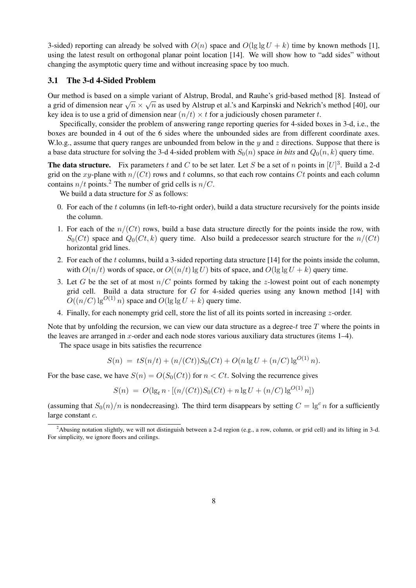3-sided) reporting can already be solved with  $O(n)$  space and  $O(\lg \lg U + k)$  time by known methods [1], using the latest result on orthogonal planar point location [14]. We will show how to "add sides" without changing the asymptotic query time and without increasing space by too much.

### 3.1 The 3-d 4-Sided Problem

Our method is based on a simple variant of Alstrup, Brodal, and Rauhe's grid-based method [8]. Instead of  $\alpha$  grid of dimension near  $\sqrt{n} \times \sqrt{n}$  as used by Alstrup et al.'s and Karpinski and Nekrich's method [40], our a grid of dimension near  $\sqrt{n} \times \sqrt{n}$  as used by Alstrup et al.'s and Karpinski and Nekrich's method [40], key idea is to use a grid of dimension near  $(n/t) \times t$  for a judiciously chosen parameter t.

Specifically, consider the problem of answering range reporting queries for 4-sided boxes in 3-d, i.e., the boxes are bounded in 4 out of the 6 sides where the unbounded sides are from different coordinate axes. W.lo.g., assume that query ranges are unbounded from below in the  $\gamma$  and  $\gamma$  directions. Suppose that there is a base data structure for solving the 3-d 4-sided problem with  $S_0(n)$  space *in bits* and  $Q_0(n, k)$  query time.

**The data structure.** Fix parameters t and C to be set later. Let S be a set of n points in  $[U]^3$ . Build a 2-d grid on the xy-plane with  $n/(Ct)$  rows and t columns, so that each row contains Ct points and each column contains  $n/t$  points.<sup>2</sup> The number of grid cells is  $n/C$ .

We build a data structure for  $S$  as follows:

- 0. For each of the  $t$  columns (in left-to-right order), build a data structure recursively for the points inside the column.
- 1. For each of the  $n/(Ct)$  rows, build a base data structure directly for the points inside the row, with  $S_0(Ct)$  space and  $Q_0(Ct, k)$  query time. Also build a predecessor search structure for the  $n/(Ct)$ horizontal grid lines.
- 2. For each of the t columns, build a 3-sided reporting data structure [14] for the points inside the column, with  $O(n/t)$  words of space, or  $O((n/t) \lg U)$  bits of space, and  $O(\lg \lg U + k)$  query time.
- 3. Let G be the set of at most  $n/C$  points formed by taking the z-lowest point out of each nonempty grid cell. Build a data structure for  $G$  for 4-sided queries using any known method [14] with  $O((n/C) \lg^{O(1)} n)$  space and  $O(\lg \lg U + k)$  query time.
- 4. Finally, for each nonempty grid cell, store the list of all its points sorted in increasing z-order.

Note that by unfolding the recursion, we can view our data structure as a degree-t tree  $T$  where the points in the leaves are arranged in x-order and each node stores various auxiliary data structures (items 1–4).

The space usage in bits satisfies the recurrence

$$
S(n) = tS(n/t) + (n/(Ct))S_0(Ct) + O(n \lg U + (n/C) \lg^{O(1)} n).
$$

For the base case, we have  $S(n) = O(S_0(Ct))$  for  $n < Ct$ . Solving the recurrence gives

$$
S(n) = O(\lg_t n \cdot [(n/(Ct))S_0(Ct) + n \lg U + (n/C) \lg^{O(1)} n])
$$

(assuming that  $S_0(n)/n$  is nondecreasing). The third term disappears by setting  $C = \lg^c n$  for a sufficiently large constant c.

<sup>&</sup>lt;sup>2</sup>Abusing notation slightly, we will not distinguish between a 2-d region (e.g., a row, column, or grid cell) and its lifting in 3-d. For simplicity, we ignore floors and ceilings.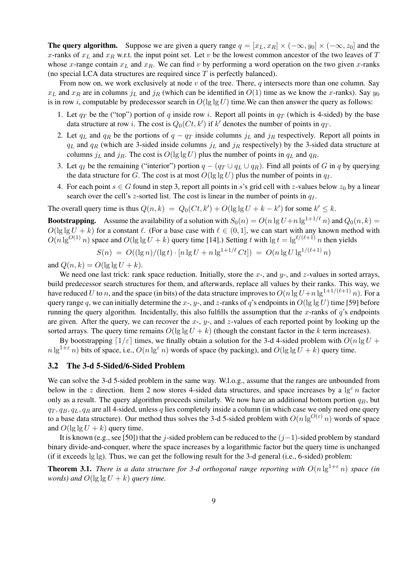**The query algorithm.** Suppose we are given a query range  $q = [x_L, x_R] \times (-\infty, y_0] \times (-\infty, z_0]$  and the x-ranks of  $x_L$  and  $x_R$  w.r.t. the input point set. Let v be the lowest common ancestor of the two leaves of T whose x-range contain  $x_L$  and  $x_R$ . We can find v by performing a word operation on the two given x-ranks (no special LCA data structures are required since  $T$  is perfectly balanced).

From now on, we work exclusively at node  $v$  of the tree. There,  $q$  intersects more than one column. Say  $x_L$  and  $x_R$  are in columns  $j_L$  and  $j_R$  (which can be identified in  $O(1)$  time as we know the x-ranks). Say  $y_0$ is in row i, computable by predecessor search in  $O(\lg \lg U)$  time. We can then answer the query as follows:

- 1. Let  $q_T$  be the ("top") portion of q inside row i. Report all points in  $q_T$  (which is 4-sided) by the base data structure at row *i*. The cost is  $Q_0(Ct, k')$  if  $k'$  denotes the number of points in  $q_T$ .
- 2. Let  $q_L$  and  $q_R$  be the portions of  $q q_T$  inside columns  $j_L$  and  $j_R$  respectively. Report all points in  $q_L$  and  $q_R$  (which are 3-sided inside columns  $j_L$  and  $j_R$  respectively) by the 3-sided data structure at columns  $j_L$  and  $j_R$ . The cost is  $O(\lg \lg U)$  plus the number of points in  $q_L$  and  $q_R$ .
- 3. Let q<sub>I</sub> be the remaining ("interior") portion  $q (q_T \cup q_L \cup q_R)$ . Find all points of G in q by querying the data structure for G. The cost is at most  $O(\lg \lg U)$  plus the number of points in  $q_I$ .
- 4. For each point  $s \in G$  found in step 3, report all points in s's grid cell with z-values below  $z_0$  by a linear search over the cell's z-sorted list. The cost is linear in the number of points in  $q<sub>I</sub>$ .

The overall query time is thus  $Q(n, k) = Q_0(Ct, k') + O(\lg \lg U + k - k')$  for some  $k' \leq k$ .

**Bootstrapping.** Assume the availability of a solution with  $S_0(n) = O(n \lg U + n \lg^{1+1/\ell} n)$  and  $Q_0(n, k)$  =  $O(\lg \lg U + k)$  for a constant  $\ell$ . (For a base case with  $\ell \in (0, 1]$ , we can start with any known method with  $O(n \lg^{O(1)} n)$  space and  $O(\lg \lg U + k)$  query time [14].) Setting t with  $\lg t = \lg^{\ell/(\ell+1)} n$  then yields

$$
S(n) = O((\lg n)/(\lg t) \cdot [n \lg U + n \lg^{1+1/\ell} Ct]) = O(n \lg U \lg^{1/(\ell+1)} n)
$$

and  $Q(n, k) = O(\lg \lg U + k)$ .

We need one last trick: rank space reduction. Initially, store the x-, and y-, and z-values in sorted arrays, build predecessor search structures for them, and afterwards, replace all values by their ranks. This way, we have reduced U to n, and the space (in bits) of the data structure improves to  $O(n \lg U + n \lg^{1+1/(\ell+1)} n)$ . For a query range q, we can initially determine the x-, y-, and z-ranks of q's endpoints in  $O(\lg \lg U)$  time [59] before running the query algorithm. Incidentally, this also fulfills the assumption that the x-ranks of  $q$ 's endpoints are given. After the query, we can recover the  $x$ -,  $y$ -, and  $z$ -values of each reported point by looking up the sorted arrays. The query time remains  $O(\lg \lg U + k)$  (though the constant factor in the k term increases).

By bootstrapping  $\lceil 1/\varepsilon \rceil$  times, we finally obtain a solution for the 3-d 4-sided problem with  $O(n \lg U +$  $n \lg^{1+\epsilon} n$ ) bits of space, i.e.,  $O(n \lg^{\epsilon} n)$  words of space (by packing), and  $O(\lg \lg U + k)$  query time.

### 3.2 The 3-d 5-Sided/6-Sided Problem

We can solve the 3-d 5-sided problem in the same way. W.l.o.g., assume that the ranges are unbounded from below in the z direction. Item 2 now stores 4-sided data structures, and space increases by a  $\lg^{\epsilon} n$  factor only as a result. The query algorithm proceeds similarly. We now have an additional bottom portion  $q_B$ , but  $q_T, q_B, q_L, q_R$  are all 4-sided, unless q lies completely inside a column (in which case we only need one query to a base data structure). Our method thus solves the 3-d 5-sided problem with  $O(n \lg^{O(\varepsilon)} n)$  words of space and  $O(\lg \lg U + k)$  query time.

It is known (e.g., see [50]) that the j-sided problem can be reduced to the  $(j-1)$ -sided problem by standard binary divide-and-conquer, where the space increases by a logarithmic factor but the query time is unchanged (if it exceeds lg lg). Thus, we can get the following result for the 3-d general (i.e., 6-sided) problem:

**Theorem 3.1.** *There is a data structure for 3-d orthogonal range reporting with*  $O(n \lg^{1+\epsilon} n)$  *space (in words)* and  $O(\lg \lg U + k)$  *query time.*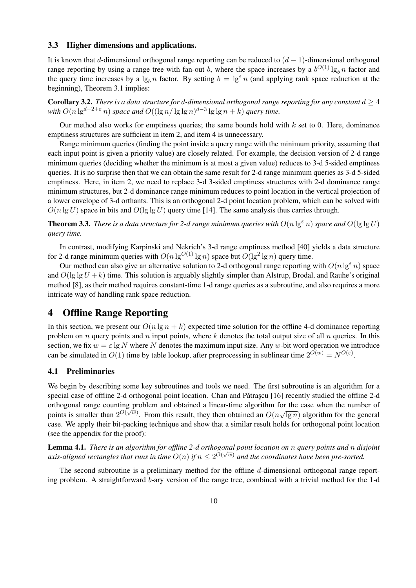### 3.3 Higher dimensions and applications.

It is known that d-dimensional orthogonal range reporting can be reduced to  $(d - 1)$ -dimensional orthogonal range reporting by using a range tree with fan-out b, where the space increases by a  $b^{O(1)} \lg_b n$  factor and the query time increases by a  $\lg_b n$  factor. By setting  $b = \lg^{\epsilon} n$  (and applying rank space reduction at the beginning), Theorem 3.1 implies:

**Corollary 3.2.** *There is a data structure for d-dimensional orthogonal range reporting for any constant*  $d \geq 4$  $\text{with } O(n \lg^{d-2+\varepsilon} n) \text{ space and } O((\lg n / \lg \lg n)^{d-3} \lg \lg n + k) \text{ query time.}$ 

Our method also works for emptiness queries; the same bounds hold with  $k$  set to 0. Here, dominance emptiness structures are sufficient in item 2, and item 4 is unnecessary.

Range minimum queries (finding the point inside a query range with the minimum priority, assuming that each input point is given a priority value) are closely related. For example, the decision version of 2-d range minimum queries (deciding whether the minimum is at most a given value) reduces to 3-d 5-sided emptiness queries. It is no surprise then that we can obtain the same result for 2-d range minimum queries as 3-d 5-sided emptiness. Here, in item 2, we need to replace 3-d 3-sided emptiness structures with 2-d dominance range minimum structures, but 2-d dominance range minimum reduces to point location in the vertical projection of a lower envelope of 3-d orthants. This is an orthogonal 2-d point location problem, which can be solved with  $O(n \lg U)$  space in bits and  $O(\lg \lg U)$  query time [14]. The same analysis thus carries through.

**Theorem 3.3.** *There is a data structure for 2-d range minimum queries with*  $O(n \lg^{\epsilon} n)$  *space and*  $O(\lg \lg U)$ *query time.*

In contrast, modifying Karpinski and Nekrich's 3-d range emptiness method [40] yields a data structure for 2-d range minimum queries with  $O(n \lg^{O(1)} \lg n)$  space but  $O(\lg^2 \lg n)$  query time.

Our method can also give an alternative solution to 2-d orthogonal range reporting with  $O(n \lg \epsilon n)$  space and  $O(\lg \lg U + k)$  time. This solution is arguably slightly simpler than Alstrup, Brodal, and Rauhe's original method [8], as their method requires constant-time 1-d range queries as a subroutine, and also requires a more intricate way of handling rank space reduction.

# 4 Offline Range Reporting

In this section, we present our  $O(n \lg n + k)$  expected time solution for the offline 4-d dominance reporting problem on n query points and n input points, where  $k$  denotes the total output size of all  $n$  queries. In this section, we fix  $w = \varepsilon \lg N$  where N denotes the maximum input size. Any w-bit word operation we introduce can be simulated in  $O(1)$  time by table lookup, after preprocessing in sublinear time  $2^{O(w)} = N^{O(\varepsilon)}$ .

### 4.1 Preliminaries

We begin by describing some key subroutines and tools we need. The first subroutine is an algorithm for a special case of offline 2-d orthogonal point location. Chan and Pǎtraşcu [16] recently studied the offline 2-d orthogonal range counting problem and obtained a linear-time algorithm for the case when the number of points is smaller than  $2^{O(\sqrt{w})}$ . From this result, they then obtained an  $O(n\sqrt{\lg n})$  algorithm for the general case. We apply their bit-packing technique and show that a similar result holds for orthogonal point location (see the appendix for the proof):

Lemma 4.1. *There is an algorithm for offline 2-d orthogonal point location on* n *query points and* n *disjoint* √ axis-aligned rectangles that runs in time  $O(n)$  if  $n \leq 2^{O(\sqrt{w})}$  and the coordinates have been pre-sorted.

The second subroutine is a preliminary method for the offline  $d$ -dimensional orthogonal range reporting problem. A straightforward b-ary version of the range tree, combined with a trivial method for the 1-d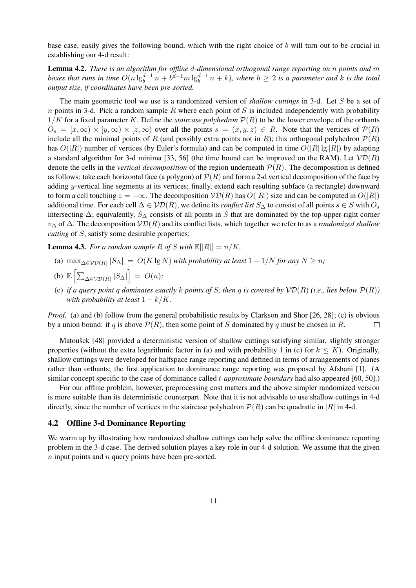base case, easily gives the following bound, which with the right choice of b will turn out to be crucial in establishing our 4-d result:

Lemma 4.2. *There is an algorithm for offline* d*-dimensional orthogonal range reporting on* n *points and* m  $b$ oxes that runs in time  $O(n \lg_b^{d-1} n + b^{d-1} m \lg_b^{d-1} n + k)$ , where  $b \geq 2$  is a parameter and k is the total *output size, if coordinates have been pre-sorted.*

The main geometric tool we use is a randomized version of *shallow cuttings* in 3-d. Let S be a set of  $n$  points in 3-d. Pick a random sample R where each point of S is included independently with probability  $1/K$  for a fixed parameter K. Define the *staircase polyhedron*  $\mathcal{P}(R)$  to be the lower envelope of the orthants  $O_s = [x, \infty) \times [y, \infty) \times [z, \infty)$  over all the points  $s = (x, y, z) \in R$ . Note that the vertices of  $\mathcal{P}(R)$ include all the minimal points of R (and possibly extra points not in R); this orthogonal polyhedron  $\mathcal{P}(R)$ has  $O(|R|)$  number of vertices (by Euler's formula) and can be computed in time  $O(|R| \lg |R|)$  by adapting a standard algorithm for 3-d minima [33, 56] (the time bound can be improved on the RAM). Let  $V\mathcal{D}(R)$ denote the cells in the *vertical decomposition* of the region underneath  $\mathcal{P}(R)$ . The decomposition is defined as follows: take each horizontal face (a polygon) of  $\mathcal{P}(R)$  and form a 2-d vertical decomposition of the face by adding y-vertical line segments at its vertices; finally, extend each resulting subface (a rectangle) downward to form a cell touching  $z = -\infty$ . The decomposition  $\mathcal{V}D(R)$  has  $O(|R|)$  size and can be computed in  $O(|R|)$ additional time. For each cell  $\Delta \in \mathcal{VD}(R)$ , we define its *conflict list*  $S_{\Delta}$  to consist of all points  $s \in S$  with  $O_s$ intersecting  $\Delta$ ; equivalently,  $S_{\Delta}$  consists of all points in S that are dominated by the top-upper-right corner v<sup>∆</sup> of ∆. The decomposition VD(R) and its conflict lists, which together we refer to as a *randomized shallow cutting* of *S*, satisfy some desirable properties:

**Lemma 4.3.** *For a random sample R of S with*  $\mathbb{E}[|R|] = n/K$ *,* 

(a)  $\max_{\Delta \in \mathcal{VD}(R)} |S_{\Delta}| = O(K \lg N)$  *with probability at least*  $1 - 1/N$  *for any*  $N \ge n$ *;* 

(b) 
$$
\mathbb{E}\left[\sum_{\Delta \in \mathcal{VD}(R)} |S_{\Delta}|\right] = O(n);
$$

(c) if a query point q dominates exactly k points of S, then q is covered by  $\mathcal{VD}(R)$  (i.e., lies below  $\mathcal{P}(R)$ ) *with probability at least*  $1 - k/K$ .

*Proof.* (a) and (b) follow from the general probabilistic results by Clarkson and Shor [26, 28]; (c) is obvious by a union bound: if q is above  $\mathcal{P}(R)$ , then some point of S dominated by q must be chosen in R.  $\Box$ 

Matousek [48] provided a deterministic version of shallow cuttings satisfying similar, slightly stronger properties (without the extra logarithmic factor in (a) and with probability 1 in (c) for  $k \le K$ ). Originally, shallow cuttings were developed for halfspace range reporting and defined in terms of arrangements of planes rather than orthants; the first application to dominance range reporting was proposed by Afshani [1]. (A similar concept specific to the case of dominance called t*-approximate boundary* had also appeared [60, 50].)

For our offline problem, however, preprocessing cost matters and the above simpler randomized version is more suitable than its deterministic counterpart. Note that it is not advisable to use shallow cuttings in 4-d directly, since the number of vertices in the staircase polyhedron  $\mathcal{P}(R)$  can be quadratic in |R| in 4-d.

### 4.2 Offline 3-d Dominance Reporting

We warm up by illustrating how randomized shallow cuttings can help solve the offline dominance reporting problem in the 3-d case. The derived solution playes a key role in our 4-d solution. We assume that the given  $n$  input points and  $n$  query points have been pre-sorted.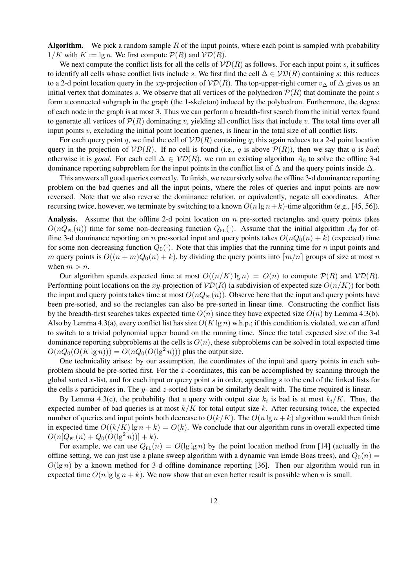**Algorithm.** We pick a random sample R of the input points, where each point is sampled with probability  $1/K$  with  $K := \lg n$ . We first compute  $P(R)$  and  $VD(R)$ .

We next compute the conflict lists for all the cells of  $V\mathcal{D}(R)$  as follows. For each input point s, it suffices to identify all cells whose conflict lists include s. We first find the cell  $\Delta \in \mathcal{VD}(R)$  containing s; this reduces to a 2-d point location query in the xy-projection of  $V\mathcal{D}(R)$ . The top-upper-right corner  $v_{\Delta}$  of  $\Delta$  gives us an initial vertex that dominates s. We observe that all vertices of the polyhedron  $P(R)$  that dominate the point s form a connected subgraph in the graph (the 1-skeleton) induced by the polyhedron. Furthermore, the degree of each node in the graph is at most 3. Thus we can perform a breadth-first search from the initial vertex found to generate all vertices of  $\mathcal{P}(R)$  dominating v, yielding all conflict lists that include v. The total time over all input points  $v$ , excluding the initial point location queries, is linear in the total size of all conflict lists.

For each query point q, we find the cell of  $V\mathcal{D}(R)$  containing q; this again reduces to a 2-d point location query in the projection of  $\mathcal{V}\mathcal{D}(R)$ . If no cell is found (i.e., q is above  $\mathcal{P}(R)$ ), then we say that q is *bad*; otherwise it is *good*. For each cell  $\Delta \in \mathcal{VD}(R)$ , we run an existing algorithm  $A_0$  to solve the offline 3-d dominance reporting subproblem for the input points in the conflict list of  $\Delta$  and the query points inside  $\Delta$ .

This answers all good queries correctly. To finish, we recursively solve the offline 3-d dominance reporting problem on the bad queries and all the input points, where the roles of queries and input points are now reversed. Note that we also reverse the dominance relation, or equivalently, negate all coordinates. After recursing twice, however, we terminate by switching to a known  $O(n \lg n + k)$ -time algorithm (e.g., [45, 56]).

Analysis. Assume that the offline 2-d point location on  $n$  pre-sorted rectangles and query points takes  $O(nQ_{PL}(n))$  time for some non-decreasing function  $Q_{PL}(\cdot)$ . Assume that the initial algorithm  $A_0$  for offline 3-d dominance reporting on n pre-sorted input and query points takes  $O(nQ_0(n) + k)$  (expected) time for some non-decreasing function  $Q_0(\cdot)$ . Note that this implies that the running time for n input points and m query points is  $O((n + m)Q_0(n) + k)$ , by dividing the query points into  $\lceil m/n \rceil$  groups of size at most n when  $m > n$ .

Our algorithm spends expected time at most  $O((n/K) \lg n) = O(n)$  to compute  $P(R)$  and  $V\mathcal{D}(R)$ . Performing point locations on the xy-projection of  $\mathcal{VD}(R)$  (a subdivision of expected size  $O(n/K)$ ) for both the input and query points takes time at most  $O(nQ_{PL}(n))$ . Observe here that the input and query points have been pre-sorted, and so the rectangles can also be pre-sorted in linear time. Constructing the conflict lists by the breadth-first searches takes expected time  $O(n)$  since they have expected size  $O(n)$  by Lemma 4.3(b). Also by Lemma 4.3(a), every conflict list has size  $O(K \lg n)$  w.h.p.; if this condition is violated, we can afford to switch to a trivial polynomial upper bound on the running time. Since the total expected size of the 3-d dominance reporting subproblems at the cells is  $O(n)$ , these subproblems can be solved in total expected time  $O(nQ_0(O(K \lg n))) = O(nQ_0(O(\lg^2 n)))$  plus the output size.

One technicality arises: by our assumption, the coordinates of the input and query points in each subproblem should be pre-sorted first. For the x-coordinates, this can be accomplished by scanning through the global sorted x-list, and for each input or query point s in order, appending s to the end of the linked lists for the cells s participates in. The y- and z-sorted lists can be similarly dealt with. The time required is linear.

By Lemma 4.3(c), the probability that a query with output size  $k_i$  is bad is at most  $k_i/K$ . Thus, the expected number of bad queries is at most  $k/K$  for total output size k. After recursing twice, the expected number of queries and input points both decrease to  $O(k/K)$ . The  $O(n \lg n + k)$  algorithm would then finish in expected time  $O((k/K) \lg n + k) = O(k)$ . We conclude that our algorithm runs in overall expected time  $O(n[Q_{\rm PL}(n) + Q_0(O(\lg^2 n))] + k).$ 

For example, we can use  $Q_{PL}(n) = O(\lg \lg n)$  by the point location method from [14] (actually in the offline setting, we can just use a plane sweep algorithm with a dynamic van Emde Boas trees), and  $Q_0(n)$  $O(\lg n)$  by a known method for 3-d offline dominance reporting [36]. Then our algorithm would run in expected time  $O(n \lg \lg n + k)$ . We now show that an even better result is possible when n is small.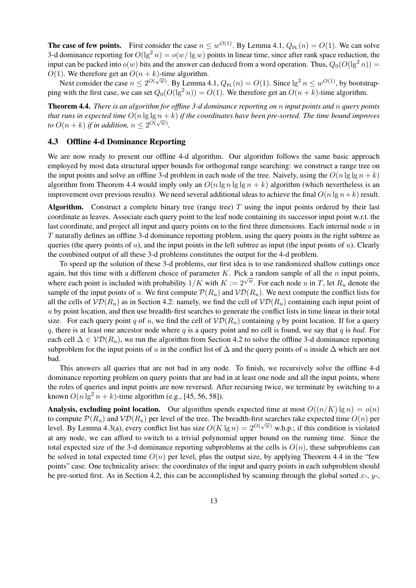**The case of few points.** First consider the case  $n \leq w^{O(1)}$ . By Lemma 4.1,  $Q_{PL}(n) = O(1)$ . We can solve 3-d dominance reporting for  $O(\lg^2 n) = o(w/\lg w)$  points in linear time, since after rank space reduction, the input can be packed into  $o(w)$  bits and the answer can deduced from a word operation. Thus,  $Q_0(O(\lg^2 n))$  =  $O(1)$ . We therefore get an  $O(n + k)$ -time algorithm.

Next consider the case  $n \le 2^{O(\sqrt{w})}$ . By Lemma 4.1,  $Q_{PL}(n) = O(1)$ . Since  $\lg^2 n \le w^{O(1)}$ , by bootstrapping with the first case, we can set  $Q_0(O(\lg^2 n)) = O(1)$ . We therefore get an  $O(n + k)$ -time algorithm.

Theorem 4.4. *There is an algorithm for offline 3-d dominance reporting on* n *input points and* n *query points that runs in expected time*  $O(n\lg\lg n + k)$  *if the coordinates have been pre-sorted. The time bound improves to*  $O(n+k)$  *if in addition,*  $n \leq 2^{O(\sqrt{w})}$ *.* 

## 4.3 Offline 4-d Dominance Reporting

We are now ready to present our offline 4-d algorithm. Our algorithm follows the same basic approach employed by most data structural upper bounds for orthogonal range searching: we construct a range tree on the input points and solve an offline 3-d problem in each node of the tree. Naively, using the  $O(n \lg \lg n + k)$ algorithm from Theorem 4.4 would imply only an  $O(n \lg n \lg \lg n + k)$  algorithm (which nevertheless is an improvement over previous results). We need several additional ideas to achieve the final  $O(n \lg n + k)$  result.

**Algorithm.** Construct a complete binary tree (range tree)  $T$  using the input points ordered by their last coordinate as leaves. Associate each query point to the leaf node containing its successor input point w.r.t. the last coordinate, and project all input and query points on to the first three dimensions. Each internal node  $u$  in T naturally defines an offline 3-d dominance reporting problem, using the query points in the right subtree as queries (the query points of u), and the input points in the left subtree as input (the input points of u). Clearly the combined output of all these 3-d problems constitutes the output for the 4-d problem.

To speed up the solution of these 3-d problems, our first idea is to use randomized shallow cuttings once again, but this time with a different choice of parameter K. Pick a random sample of all the n input points, where each point is included with probability  $1/K$  with  $K := 2^{\sqrt{w}}$ . For each node u in T, let  $R_u$  denote the sample of the input points of u. We first compute  $\mathcal{P}(R_u)$  and  $\mathcal{V}\mathcal{D}(R_u)$ . We next compute the conflict lists for all the cells of  $V\mathcal{D}(R_u)$  as in Section 4.2: namely, we find the cell of  $V\mathcal{D}(R_u)$  containing each input point of  $u$  by point location, and then use breadth-first searches to generate the conflict lists in time linear in their total size. For each query point q of u, we find the cell of  $V\mathcal{D}(R_u)$  containing q by point location. If for a query q, there is at least one ancestor node where q is a query point and no cell is found, we say that q is *bad*. For each cell  $\Delta \in \mathcal{VD}(R_u)$ , we run the algorithm from Section 4.2 to solve the offline 3-d dominance reporting subproblem for the input points of u in the conflict list of  $\Delta$  and the query points of u inside  $\Delta$  which are not bad.

This answers all queries that are not bad in any node. To finish, we recursively solve the offline 4-d dominance reporting problem on query points that are bad in at least one node and all the input points, where the roles of queries and input points are now reversed. After recursing twice, we terminate by switching to a known  $O(n \lg^2 n + k)$ -time algorithm (e.g., [45, 56, 58]).

Analysis, excluding point location. Our algorithm spends expected time at most  $O((n/K) \lg n) = o(n)$ to compute  $\mathcal{P}(R_u)$  and  $\mathcal{V}\mathcal{D}(R_u)$  per level of the tree. The breadth-first searches take expected time  $O(n)$  per level. By Lemma 4.3(a), every conflict list has size  $O(K \lg n) = 2^{O(\sqrt{w})}$  w.h.p.; if this condition is violated at any node, we can afford to switch to a trivial polynomial upper bound on the running time. Since the total expected size of the 3-d dominance reporting subproblems at the cells is  $O(n)$ , these subproblems can be solved in total expected time  $O(n)$  per level, plus the output size, by applying Theorem 4.4 in the "few points" case. One technicality arises: the coordinates of the input and query points in each subproblem should be pre-sorted first. As in Section 4.2, this can be accomplished by scanning through the global sorted  $x$ -,  $y$ -,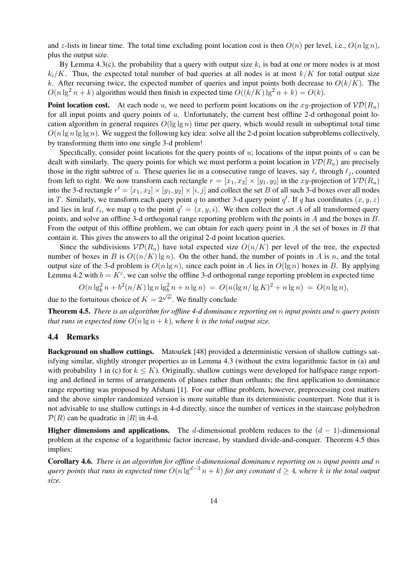and z-lists in linear time. The total time excluding point location cost is then  $O(n)$  per level, i.e.,  $O(n \lg n)$ , plus the output size.

By Lemma 4.3(c), the probability that a query with output size  $k_i$  is bad at one or more nodes is at most  $k_i/K$ . Thus, the expected total number of bad queries at all nodes is at most  $k/K$  for total output size k. After recursing twice, the expected number of queries and input points both decrease to  $O(k/K)$ . The  $O(n \lg^2 n + k)$  algorithm would then finish in expected time  $O((k/K) \lg^2 n + k) = O(k)$ .

**Point location cost.** At each node u, we need to perform point locations on the xy-projection of  $V\mathcal{D}(R_u)$ for all input points and query points of u. Unfortunately, the current best offline 2-d orthogonal point location algorithm in general requires  $O(\lg \lg n)$  time per query, which would result in suboptimal total time  $O(n \lg n \lg \lg n)$ . We suggest the following key idea: solve all the 2-d point location subproblems collectively, by transforming them into one single 3-d problem!

Specifically, consider point locations for the query points of  $u$ ; locations of the input points of  $u$  can be dealt with similarly. The query points for which we must perform a point location in  $\mathcal{V}D(R_u)$  are precisely those in the right subtree of u. These queries lie in a consecutive range of leaves, say  $\ell_i$  through  $\ell_j$ , counted from left to right. We now transform each rectangle  $r = [x_1, x_2] \times [y_1, y_2]$  in the xy-projection of  $V\mathcal{D}(R_u)$ into the 3-d rectangle  $r' = [x_1, x_2] \times [y_1, y_2] \times [i, j]$  and collect the set B of all such 3-d boxes over all nodes in T. Similarly, we transform each query point q to another 3-d query point q'. If q has coordinates  $(x, y, z)$ and lies in leaf  $\ell_i$ , we map q to the point  $q' = (x, y, i)$ . We then collect the set A of all transformed query points, and solve an offline 3-d orthogonal range reporting problem with the points in A and the boxes in B. From the output of this offline problem, we can obtain for each query point in  $A$  the set of boxes in  $B$  that contain it. This gives the answers to all the original 2-d point location queries.

Since the subdivisions  $\mathcal{V}D(R_u)$  have total expected size  $O(n/K)$  per level of the tree, the expected number of boxes in B is  $O((n/K) \lg n)$ . On the other hand, the number of points in A is n, and the total output size of the 3-d problem is  $O(n \lg n)$ , since each point in A lies in  $O(\lg n)$  boxes in B. By applying Lemma 4.2 with  $b = K^{\varepsilon}$ , we can solve the offline 3-d orthogonal range reporting problem in expected time

$$
O(n \lg_b^2 n + b^2(n/K) \lg n \lg_b^2 n + n \lg n) = O(n(\lg n/\lg K)^2 + n \lg n) = O(n \lg n),
$$

due to the fortuitous choice of  $K = 2^{\sqrt{w}}$ . We finally conclude

Theorem 4.5. *There is an algorithm for offline 4-d dominance reporting on* n *input points and* n *query points that runs in expected time*  $O(n \lg n + k)$ *, where* k *is the total output size.* 

### 4.4 Remarks

Background on shallow cuttings. Matousek [48] provided a deterministic version of shallow cuttings satisfying similar, slightly stronger properties as in Lemma 4.3 (without the extra logarithmic factor in (a) and with probability 1 in (c) for  $k \leq K$ ). Originally, shallow cuttings were developed for halfspace range reporting and defined in terms of arrangements of planes rather than orthants; the first application to dominance range reporting was proposed by Afshani [1]. For our offline problem, however, preprocessing cost matters and the above simpler randomized version is more suitable than its deterministic counterpart. Note that it is not advisable to use shallow cuttings in 4-d directly, since the number of vertices in the staircase polyhedron  $\mathcal{P}(R)$  can be quadratic in |R| in 4-d.

Higher dimensions and applications. The d-dimensional problem reduces to the  $(d - 1)$ -dimensional problem at the expense of a logarithmic factor increase, by standard divide-and-conquer. Theorem 4.5 thus implies:

Corollary 4.6. *There is an algorithm for offline* d*-dimensional dominance reporting on* n *input points and* n *query points that runs in expected time*  $O(n \lg^{d-3} n + k)$  *for any constant*  $d \geq 4$ *, where* k *is the total output size.*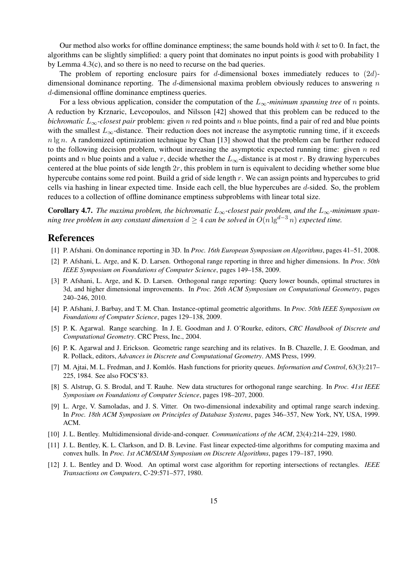Our method also works for offline dominance emptiness; the same bounds hold with  $k$  set to 0. In fact, the algorithms can be slightly simplified: a query point that dominates no input points is good with probability 1 by Lemma 4.3(c), and so there is no need to recurse on the bad queries.

The problem of reporting enclosure pairs for d-dimensional boxes immediately reduces to  $(2d)$ dimensional dominance reporting. The  $d$ -dimensional maxima problem obviously reduces to answering  $n$ d-dimensional offline dominance emptiness queries.

For a less obvious application, consider the computation of the  $L_{\infty}$ -minimum spanning tree of n points. A reduction by Krznaric, Levcopoulos, and Nilsson [42] showed that this problem can be reduced to the *bichromatic*  $L_{\infty}$ -closest pair problem: given n red points and n blue points, find a pair of red and blue points with the smallest  $L_{\infty}$ -distance. Their reduction does not increase the asymptotic running time, if it exceeds  $n \lg n$ . A randomized optimization technique by Chan [13] showed that the problem can be further reduced to the following decision problem, without increasing the asymptotic expected running time: given  $n$  red points and n blue points and a value r, decide whether the  $L_{\infty}$ -distance is at most r. By drawing hypercubes centered at the blue points of side length  $2r$ , this problem in turn is equivalent to deciding whether some blue hypercube contains some red point. Build a grid of side length r. We can assign points and hypercubes to grid cells via hashing in linear expected time. Inside each cell, the blue hypercubes are d-sided. So, the problem reduces to a collection of offline dominance emptiness subproblems with linear total size.

**Corollary 4.7.** *The maxima problem, the bichromatic*  $L_{\infty}$ -closest pair problem, and the  $L_{\infty}$ -minimum span*ning tree problem in any constant dimension*  $d \geq 4$  *can be solved in*  $O(n \lg^{d-3} n)$  *expected time.* 

# References

- [1] P. Afshani. On dominance reporting in 3D. In *Proc. 16th European Symposium on Algorithms*, pages 41–51, 2008.
- [2] P. Afshani, L. Arge, and K. D. Larsen. Orthogonal range reporting in three and higher dimensions. In *Proc. 50th IEEE Symposium on Foundations of Computer Science*, pages 149–158, 2009.
- [3] P. Afshani, L. Arge, and K. D. Larsen. Orthogonal range reporting: Query lower bounds, optimal structures in 3d, and higher dimensional improvements. In *Proc. 26th ACM Symposium on Computational Geometry*, pages 240–246, 2010.
- [4] P. Afshani, J. Barbay, and T. M. Chan. Instance-optimal geometric algorithms. In *Proc. 50th IEEE Symposium on Foundations of Computer Science*, pages 129–138, 2009.
- [5] P. K. Agarwal. Range searching. In J. E. Goodman and J. O'Rourke, editors, *CRC Handbook of Discrete and Computational Geometry*. CRC Press, Inc., 2004.
- [6] P. K. Agarwal and J. Erickson. Geometric range searching and its relatives. In B. Chazelle, J. E. Goodman, and R. Pollack, editors, *Advances in Discrete and Computational Geometry*. AMS Press, 1999.
- [7] M. Ajtai, M. L. Fredman, and J. Komlós. Hash functions for priority queues. *Information and Control*, 63(3):217– 225, 1984. See also FOCS'83.
- [8] S. Alstrup, G. S. Brodal, and T. Rauhe. New data structures for orthogonal range searching. In *Proc. 41st IEEE Symposium on Foundations of Computer Science*, pages 198–207, 2000.
- [9] L. Arge, V. Samoladas, and J. S. Vitter. On two-dimensional indexability and optimal range search indexing. In *Proc. 18th ACM Symposium on Principles of Database Systems*, pages 346–357, New York, NY, USA, 1999. ACM.
- [10] J. L. Bentley. Multidimensional divide-and-conquer. *Communications of the ACM*, 23(4):214–229, 1980.
- [11] J. L. Bentley, K. L. Clarkson, and D. B. Levine. Fast linear expected-time algorithms for computing maxima and convex hulls. In *Proc. 1st ACM/SIAM Symposium on Discrete Algorithms*, pages 179–187, 1990.
- [12] J. L. Bentley and D. Wood. An optimal worst case algorithm for reporting intersections of rectangles. *IEEE Transactions on Computers*, C-29:571–577, 1980.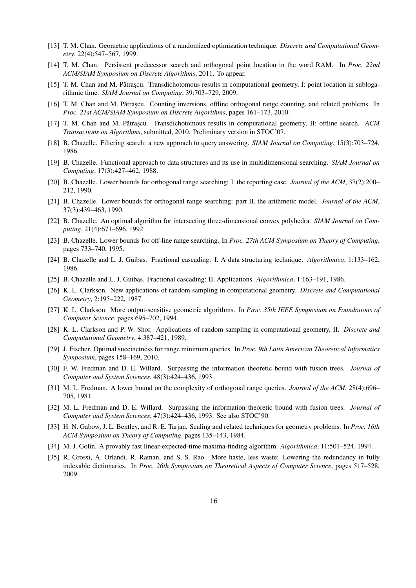- [13] T. M. Chan. Geometric applications of a randomized optimization technique. *Discrete and Computational Geometry*, 22(4):547–567, 1999.
- [14] T. M. Chan. Persistent predecessor search and orthogonal point location in the word RAM. In *Proc. 22nd ACM/SIAM Symposium on Discrete Algorithms*, 2011. To appear.
- [15] T. M. Chan and M. Pǎtraşcu. Transdichotomous results in computational geometry, I: point location in sublogarithmic time. *SIAM Journal on Computing*, 39:703–729, 2009.
- [16] T. M. Chan and M. Pătrascu. Counting inversions, offline orthogonal range counting, and related problems. In *Proc. 21st ACM/SIAM Symposium on Discrete Algorithms*, pages 161–173, 2010.
- [17] T. M. Chan and M. Pătrascu. Transdichotomous results in computational geometry, II: offline search. ACM *Transactions on Algorithms*, submitted, 2010. Preliminary version in STOC'07.
- [18] B. Chazelle. Filtering search: a new approach to query answering. *SIAM Journal on Computing*, 15(3):703–724, 1986.
- [19] B. Chazelle. Functional approach to data structures and its use in multidimensional searching. *SIAM Journal on Computing*, 17(3):427–462, 1988.
- [20] B. Chazelle. Lower bounds for orthogonal range searching: I. the reporting case. *Journal of the ACM*, 37(2):200– 212, 1990.
- [21] B. Chazelle. Lower bounds for orthogonal range searching: part II. the arithmetic model. *Journal of the ACM*, 37(3):439–463, 1990.
- [22] B. Chazelle. An optimal algorithm for intersecting three-dimensional convex polyhedra. *SIAM Journal on Computing*, 21(4):671–696, 1992.
- [23] B. Chazelle. Lower bounds for off-line range searching. In *Proc. 27th ACM Symposium on Theory of Computing*, pages 733–740, 1995.
- [24] B. Chazelle and L. J. Guibas. Fractional cascading: I. A data structuring technique. *Algorithmica*, 1:133–162, 1986.
- [25] B. Chazelle and L. J. Guibas. Fractional cascading: II. Applications. *Algorithmica*, 1:163–191, 1986.
- [26] K. L. Clarkson. New applications of random sampling in computational geometry. *Discrete and Computational Geometry*, 2:195–222, 1987.
- [27] K. L. Clarkson. More output-sensitive geometric algorithms. In *Proc. 35th IEEE Symposium on Foundations of Computer Science*, pages 695–702, 1994.
- [28] K. L. Clarkson and P. W. Shor. Applications of random sampling in computational geometry, II. *Discrete and Computational Geometry*, 4:387–421, 1989.
- [29] J. Fischer. Optimal succinctness for range minimum queries. In *Proc. 9th Latin American Theoretical Informatics Symposium*, pages 158–169, 2010.
- [30] F. W. Fredman and D. E. Willard. Surpassing the information theoretic bound with fusion trees. *Journal of Computer and System Sciences*, 48(3):424–436, 1993.
- [31] M. L. Fredman. A lower bound on the complexity of orthogonal range queries. *Journal of the ACM*, 28(4):696– 705, 1981.
- [32] M. L. Fredman and D. E. Willard. Surpassing the information theoretic bound with fusion trees. *Journal of Computer and System Sciences*, 47(3):424–436, 1993. See also STOC'90.
- [33] H. N. Gabow, J. L. Bentley, and R. E. Tarjan. Scaling and related techniques for geometry problems. In *Proc. 16th ACM Symposium on Theory of Computing*, pages 135–143, 1984.
- [34] M. J. Golin. A provably fast linear-expected-time maxima-finding algorithm. *Algorithmica*, 11:501–524, 1994.
- [35] R. Grossi, A. Orlandi, R. Raman, and S. S. Rao. More haste, less waste: Lowering the redundancy in fully indexable dictionaries. In *Proc. 26th Symposium on Theoretical Aspects of Computer Science*, pages 517–528, 2009.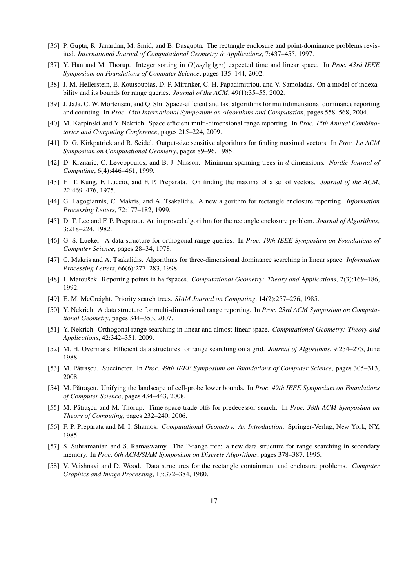- [36] P. Gupta, R. Janardan, M. Smid, and B. Dasgupta. The rectangle enclosure and point-dominance problems revisited. *International Journal of Computational Geometry & Applications*, 7:437–455, 1997.
- [37] Y. Han and M. Thorup. Integer sorting in  $O(n\sqrt{\lg \lg n})$  expected time and linear space. In *Proc. 43rd IEEE Symposium on Foundations of Computer Science*, pages 135–144, 2002.
- [38] J. M. Hellerstein, E. Koutsoupias, D. P. Miranker, C. H. Papadimitriou, and V. Samoladas. On a model of indexability and its bounds for range queries. *Journal of the ACM*, 49(1):35–55, 2002.
- [39] J. JaJa, C. W. Mortensen, and Q. Shi. Space-efficient and fast algorithms for multidimensional dominance reporting and counting. In *Proc. 15th International Symposium on Algorithms and Computation*, pages 558–568, 2004.
- [40] M. Karpinski and Y. Nekrich. Space efficient multi-dimensional range reporting. In *Proc. 15th Annual Combinatorics and Computing Conference*, pages 215–224, 2009.
- [41] D. G. Kirkpatrick and R. Seidel. Output-size sensitive algorithms for finding maximal vectors. In *Proc. 1st ACM Symposium on Computational Geometry*, pages 89–96, 1985.
- [42] D. Krznaric, C. Levcopoulos, and B. J. Nilsson. Minimum spanning trees in d dimensions. *Nordic Journal of Computing*, 6(4):446–461, 1999.
- [43] H. T. Kung, F. Luccio, and F. P. Preparata. On finding the maxima of a set of vectors. *Journal of the ACM*, 22:469–476, 1975.
- [44] G. Lagogiannis, C. Makris, and A. Tsakalidis. A new algorithm for rectangle enclosure reporting. *Information Processing Letters*, 72:177–182, 1999.
- [45] D. T. Lee and F. P. Preparata. An improved algorithm for the rectangle enclosure problem. *Journal of Algorithms*, 3:218–224, 1982.
- [46] G. S. Lueker. A data structure for orthogonal range queries. In *Proc. 19th IEEE Symposium on Foundations of Computer Science*, pages 28–34, 1978.
- [47] C. Makris and A. Tsakalidis. Algorithms for three-dimensional dominance searching in linear space. *Information Processing Letters*, 66(6):277–283, 1998.
- [48] J. Matoušek. Reporting points in halfspaces. *Computational Geometry: Theory and Applications*, 2(3):169–186, 1992.
- [49] E. M. McCreight. Priority search trees. *SIAM Journal on Computing*, 14(2):257–276, 1985.
- [50] Y. Nekrich. A data structure for multi-dimensional range reporting. In *Proc. 23rd ACM Symposium on Computational Geometry*, pages 344–353, 2007.
- [51] Y. Nekrich. Orthogonal range searching in linear and almost-linear space. *Computational Geometry: Theory and Applications*, 42:342–351, 2009.
- [52] M. H. Overmars. Efficient data structures for range searching on a grid. *Journal of Algorithms*, 9:254–275, June 1988.
- [53] M. Pătrașcu. Succincter. In Proc. 49th IEEE Symposium on Foundations of Computer Science, pages 305–313, 2008.
- [54] M. Patrascu. Unifying the landscape of cell-probe lower bounds. In *Proc. 49th IEEE Symposium on Foundations of Computer Science*, pages 434–443, 2008.
- [55] M. Pătrașcu and M. Thorup. Time-space trade-offs for predecessor search. In *Proc. 38th ACM Symposium on Theory of Computing*, pages 232–240, 2006.
- [56] F. P. Preparata and M. I. Shamos. *Computational Geometry: An Introduction*. Springer-Verlag, New York, NY, 1985.
- [57] S. Subramanian and S. Ramaswamy. The P-range tree: a new data structure for range searching in secondary memory. In *Proc. 6th ACM/SIAM Symposium on Discrete Algorithms*, pages 378–387, 1995.
- [58] V. Vaishnavi and D. Wood. Data structures for the rectangle containment and enclosure problems. *Computer Graphics and Image Processing*, 13:372–384, 1980.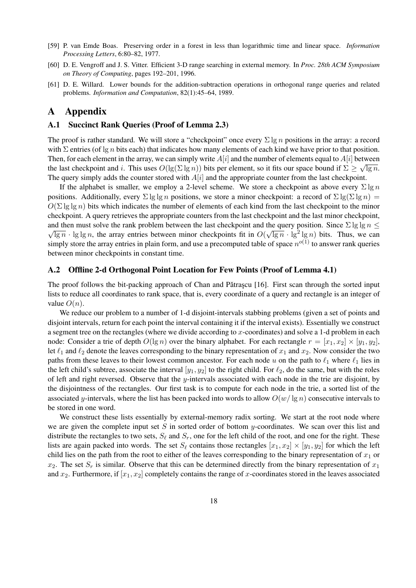- [59] P. van Emde Boas. Preserving order in a forest in less than logarithmic time and linear space. *Information Processing Letters*, 6:80–82, 1977.
- [60] D. E. Vengroff and J. S. Vitter. Efficient 3-D range searching in external memory. In *Proc. 28th ACM Symposium on Theory of Computing*, pages 192–201, 1996.
- [61] D. E. Willard. Lower bounds for the addition-subtraction operations in orthogonal range queries and related problems. *Information and Computation*, 82(1):45–64, 1989.

# A Appendix

### A.1 Succinct Rank Queries (Proof of Lemma 2.3)

The proof is rather standard. We will store a "checkpoint" once every  $\Sigma \lg n$  positions in the array: a record with  $\Sigma$  entries (of  $\lg n$  bits each) that indicates how many elements of each kind we have prior to that position. Then, for each element in the array, we can simply write  $A[i]$  and the number of elements equal to  $A[i]$  between the last checkpoint and i. This uses  $O(\lg(\Sigma \lg n))$  bits per element, so it fits our space bound if  $\Sigma \geq \sqrt{\lg n}$ . The query simply adds the counter stored with  $A[i]$  and the appropriate counter from the last checkpoint.

If the alphabet is smaller, we employ a 2-level scheme. We store a checkpoint as above every  $\Sigma \lg n$ positions. Additionally, every  $\Sigma \lg \lg n$  positions, we store a minor checkpoint: a record of  $\Sigma \lg(\Sigma \lg n)$  =  $O(\Sigma \lg \lg n)$  bits which indicates the number of elements of each kind from the last checkpoint to the minor checkpoint. A query retrieves the appropriate counters from the last checkpoint and the last minor checkpoint, and then must solve the rank problem between the last checkpoint and the query position. Since  $\Sigma \lg \lg n \leq \sqrt{1-\frac{1}{n}}$  $\overline{\lg n} \cdot \lg \lg n$ , the array entries between minor checkpoints fit in  $O(\sqrt{\lg n} \cdot \lg^2 \lg n)$  bits. Thus, we can simply store the array entries in plain form, and use a precomputed table of space  $n^{o(1)}$  to answer rank queries between minor checkpoints in constant time.

### A.2 Offline 2-d Orthogonal Point Location for Few Points (Proof of Lemma 4.1)

The proof follows the bit-packing approach of Chan and Pătrascu  $[16]$ . First scan through the sorted input lists to reduce all coordinates to rank space, that is, every coordinate of a query and rectangle is an integer of value  $O(n)$ .

We reduce our problem to a number of 1-d disjoint-intervals stabbing problems (given a set of points and disjoint intervals, return for each point the interval containing it if the interval exists). Essentially we construct a segment tree on the rectangles (where we divide according to x-coordinates) and solve a 1-d problem in each node: Consider a trie of depth  $O(\lg n)$  over the binary alphabet. For each rectangle  $r = [x_1, x_2] \times [y_1, y_2]$ , let  $\ell_1$  and  $\ell_2$  denote the leaves corresponding to the binary representation of  $x_1$  and  $x_2$ . Now consider the two paths from these leaves to their lowest common ancestor. For each node u on the path to  $\ell_1$  where  $\ell_1$  lies in the left child's subtree, associate the interval  $[y_1, y_2]$  to the right child. For  $\ell_2$ , do the same, but with the roles of left and right reversed. Observe that the y-intervals associated with each node in the trie are disjoint, by the disjointness of the rectangles. Our first task is to compute for each node in the trie, a sorted list of the associated y-intervals, where the list has been packed into words to allow  $O(w/\lg n)$  consecutive intervals to be stored in one word.

We construct these lists essentially by external-memory radix sorting. We start at the root node where we are given the complete input set S in sorted order of bottom  $y$ -coordinates. We scan over this list and distribute the rectangles to two sets,  $S_\ell$  and  $S_r$ , one for the left child of the root, and one for the right. These lists are again packed into words. The set  $S_\ell$  contains those rectangles  $[x_1, x_2] \times [y_1, y_2]$  for which the left child lies on the path from the root to either of the leaves corresponding to the binary representation of  $x_1$  or  $x_2$ . The set  $S_r$  is similar. Observe that this can be determined directly from the binary representation of  $x_1$ and  $x_2$ . Furthermore, if  $[x_1, x_2]$  completely contains the range of x-coordinates stored in the leaves associated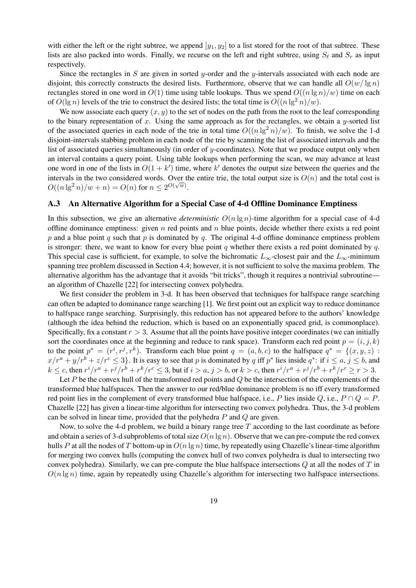with either the left or the right subtree, we append  $[y_1, y_2]$  to a list stored for the root of that subtree. These lists are also packed into words. Finally, we recurse on the left and right subtree, using  $S_\ell$  and  $S_r$  as input respectively.

Since the rectangles in S are given in sorted y-order and the y-intervals associated with each node are disjoint, this correctly constructs the desired lists. Furthermore, observe that we can handle all  $O(w/\lg n)$ rectangles stored in one word in  $O(1)$  time using table lookups. Thus we spend  $O((n \lg n)/w)$  time on each of  $O(\lg n)$  levels of the trie to construct the desired lists; the total time is  $O((n \lg^2 n)/w)$ .

We now associate each query  $(x, y)$  to the set of nodes on the path from the root to the leaf corresponding to the binary representation of x. Using the same approach as for the rectangles, we obtain a y-sorted list of the associated queries in each node of the trie in total time  $O((n \lg^2 n)/w)$ . To finish, we solve the 1-d disjoint-intervals stabbing problem in each node of the trie by scanning the list of associated intervals and the list of associated queries simultaneously (in order of y-coordinates). Note that we produce output only when an interval contains a query point. Using table lookups when performing the scan, we may advance at least one word in one of the lists in  $O(1 + k')$  time, where k' denotes the output size between the queries and the intervals in the two considered words. Over the entire trie, the total output size is  $O(n)$  and the total cost is  $O((n\lg^2 n)/w + n) = O(n)$  for  $n \leq 2^{O(\sqrt{w})}$ .

### A.3 An Alternative Algorithm for a Special Case of 4-d Offline Dominance Emptiness

In this subsection, we give an alternative *deterministic*  $O(n \lg n)$ -time algorithm for a special case of 4-d offline dominance emptiness: given  $n$  red points and  $n$  blue points, decide whether there exists a red point p and a blue point q such that p is dominated by q. The original 4-d offline dominance emptiness problem is stronger: there, we want to know for every blue point q whether there exists a red point dominated by q. This special case is sufficient, for example, to solve the bichromatic  $L_{\infty}$ -closest pair and the  $L_{\infty}$ -minimum spanning tree problem discussed in Section 4.4; however, it is not sufficient to solve the maxima problem. The alternative algorithm has the advantage that it avoids "bit tricks", though it requires a nontrivial subroutine an algorithm of Chazelle [22] for intersecting convex polyhedra.

We first consider the problem in 3-d. It has been observed that techniques for halfspace range searching can often be adapted to dominance range searching [1]. We first point out an explicit way to reduce dominance to halfspace range searching. Surprisingly, this reduction has not appeared before to the authors' knowledge (although the idea behind the reduction, which is based on an exponentially spaced grid, is commonplace). Specifically, fix a constant  $r > 3$ . Assume that all the points have positive integer coordinates (we can initially sort the coordinates once at the beginning and reduce to rank space). Transform each red point  $p = (i, j, k)$ to the point  $p^* = (r^i, r^j, r^k)$ . Transform each blue point  $q = (a, b, c)$  to the halfspace  $q^* = \{(x, y, z) :$  $x/r^a + y/r^b + z/r^c \le 3$ . It is easy to see that p is dominated by q iff p<sup>\*</sup> lies inside  $q^*$ : if  $i \le a, j \le b$ , and  $k \leq c$ , then  $r^i/r^a + r^j/r^b + r^k/r^c \leq 3$ , but if  $i > a$ ,  $j > b$ , or  $k > c$ , then  $r^i/r^a + r^j/r^b + r^k/r^c \geq r > 3$ .

Let P be the convex hull of the transformed red points and  $Q$  be the intersection of the complements of the transformed blue halfspaces. Then the answer to our red/blue dominance problem is no iff every transformed red point lies in the complement of every transformed blue halfspace, i.e., P lies inside Q, i.e.,  $P \cap Q = P$ . Chazelle [22] has given a linear-time algorithm for intersecting two convex polyhedra. Thus, the 3-d problem can be solved in linear time, provided that the polyhedra P and Q are given.

Now, to solve the 4-d problem, we build a binary range tree  $T$  according to the last coordinate as before and obtain a series of 3-d subproblems of total size  $O(n \lg n)$ . Observe that we can pre-compute the red convex hulls P at all the nodes of T bottom-up in  $O(n \lg n)$  time, by repeatedly using Chazelle's linear-time algorithm for merging two convex hulls (computing the convex hull of two convex polyhedra is dual to intersecting two convex polyhedra). Similarly, we can pre-compute the blue halfspace intersections  $Q$  at all the nodes of  $T$  in  $O(n \lg n)$  time, again by repeatedly using Chazelle's algorithm for intersecting two halfspace intersections.